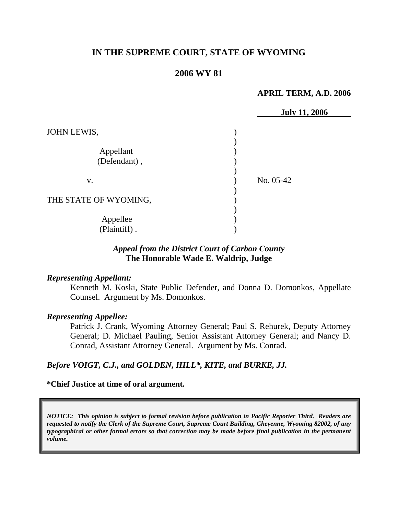## **IN THE SUPREME COURT, STATE OF WYOMING**

### **2006 WY 81**

#### **APRIL TERM, A.D. 2006**

|                          | <b>July 11, 2006</b> |
|--------------------------|----------------------|
| JOHN LEWIS,              |                      |
|                          |                      |
| Appellant                |                      |
| (Defendant),             |                      |
| V.                       | No. 05-42            |
| THE STATE OF WYOMING,    |                      |
| Appellee<br>(Plaintiff). |                      |
|                          |                      |

## *Appeal from the District Court of Carbon County* **The Honorable Wade E. Waldrip, Judge**

#### *Representing Appellant:*

Kenneth M. Koski, State Public Defender, and Donna D. Domonkos, Appellate Counsel. Argument by Ms. Domonkos.

#### *Representing Appellee:*

Patrick J. Crank, Wyoming Attorney General; Paul S. Rehurek, Deputy Attorney General; D. Michael Pauling, Senior Assistant Attorney General; and Nancy D. Conrad, Assistant Attorney General. Argument by Ms. Conrad.

#### *Before VOIGT, C.J., and GOLDEN, HILL\*, KITE, and BURKE, JJ.*

#### **\*Chief Justice at time of oral argument.**

*NOTICE: This opinion is subject to formal revision before publication in Pacific Reporter Third. Readers are requested to notify the Clerk of the Supreme Court, Supreme Court Building, Cheyenne, Wyoming 82002, of any typographical or other formal errors so that correction may be made before final publication in the permanent volume.*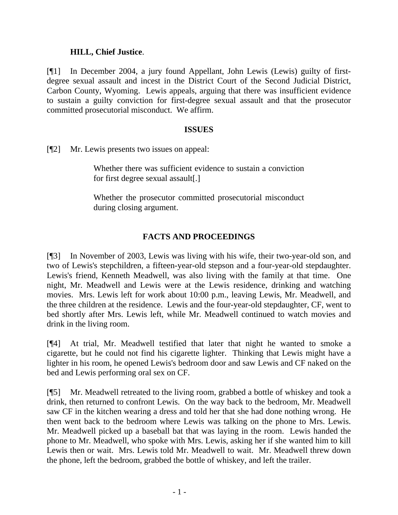#### **HILL, Chief Justice**.

[¶1] In December 2004, a jury found Appellant, John Lewis (Lewis) guilty of firstdegree sexual assault and incest in the District Court of the Second Judicial District, Carbon County, Wyoming. Lewis appeals, arguing that there was insufficient evidence to sustain a guilty conviction for first-degree sexual assault and that the prosecutor committed prosecutorial misconduct. We affirm.

### **ISSUES**

[¶2] Mr. Lewis presents two issues on appeal:

Whether there was sufficient evidence to sustain a conviction for first degree sexual assault[.]

Whether the prosecutor committed prosecutorial misconduct during closing argument.

## **FACTS AND PROCEEDINGS**

[¶3] In November of 2003, Lewis was living with his wife, their two-year-old son, and two of Lewis's stepchildren, a fifteen-year-old stepson and a four-year-old stepdaughter. Lewis's friend, Kenneth Meadwell, was also living with the family at that time. One night, Mr. Meadwell and Lewis were at the Lewis residence, drinking and watching movies. Mrs. Lewis left for work about 10:00 p.m., leaving Lewis, Mr. Meadwell, and the three children at the residence. Lewis and the four-year-old stepdaughter, CF, went to bed shortly after Mrs. Lewis left, while Mr. Meadwell continued to watch movies and drink in the living room.

[¶4] At trial, Mr. Meadwell testified that later that night he wanted to smoke a cigarette, but he could not find his cigarette lighter. Thinking that Lewis might have a lighter in his room, he opened Lewis's bedroom door and saw Lewis and CF naked on the bed and Lewis performing oral sex on CF.

[¶5] Mr. Meadwell retreated to the living room, grabbed a bottle of whiskey and took a drink, then returned to confront Lewis. On the way back to the bedroom, Mr. Meadwell saw CF in the kitchen wearing a dress and told her that she had done nothing wrong. He then went back to the bedroom where Lewis was talking on the phone to Mrs. Lewis. Mr. Meadwell picked up a baseball bat that was laying in the room. Lewis handed the phone to Mr. Meadwell, who spoke with Mrs. Lewis, asking her if she wanted him to kill Lewis then or wait. Mrs. Lewis told Mr. Meadwell to wait. Mr. Meadwell threw down the phone, left the bedroom, grabbed the bottle of whiskey, and left the trailer.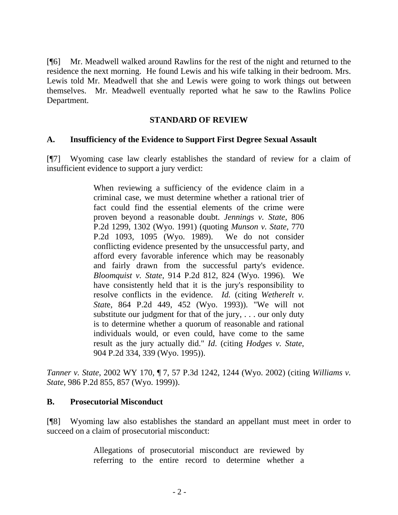[¶6] Mr. Meadwell walked around Rawlins for the rest of the night and returned to the residence the next morning. He found Lewis and his wife talking in their bedroom. Mrs. Lewis told Mr. Meadwell that she and Lewis were going to work things out between themselves. Mr. Meadwell eventually reported what he saw to the Rawlins Police Department.

### **STANDARD OF REVIEW**

### **A. Insufficiency of the Evidence to Support First Degree Sexual Assault**

[¶7] Wyoming case law clearly establishes the standard of review for a claim of insufficient evidence to support a jury verdict:

> When reviewing a sufficiency of the evidence claim in a criminal case, we must determine whether a rational trier of fact could find the essential elements of the crime were proven beyond a reasonable doubt. *Jennings v. State*, 806 P.2d 1299, 1302 (Wyo. 1991) (quoting *Munson v. State*, 770 P.2d 1093, 1095 (Wyo. 1989). We do not consider conflicting evidence presented by the unsuccessful party, and afford every favorable inference which may be reasonably and fairly drawn from the successful party's evidence. *Bloomquist v. State*, 914 P.2d 812, 824 (Wyo. 1996). We have consistently held that it is the jury's responsibility to resolve conflicts in the evidence. *Id.* (citing *Wetherelt v. Stat*e, 864 P.2d 449, 452 (Wyo. 1993)). "We will not substitute our judgment for that of the jury, . . . our only duty is to determine whether a quorum of reasonable and rational individuals would, or even could, have come to the same result as the jury actually did." *Id*. (citing *Hodges v. State*, 904 P.2d 334, 339 (Wyo. 1995)).

*Tanner v. State*, 2002 WY 170, ¶ 7, 57 P.3d 1242, 1244 (Wyo. 2002) (citing *Williams v. State*, 986 P.2d 855, 857 (Wyo. 1999)).

#### **B. Prosecutorial Misconduct**

[¶8] Wyoming law also establishes the standard an appellant must meet in order to succeed on a claim of prosecutorial misconduct:

> Allegations of prosecutorial misconduct are reviewed by referring to the entire record to determine whether a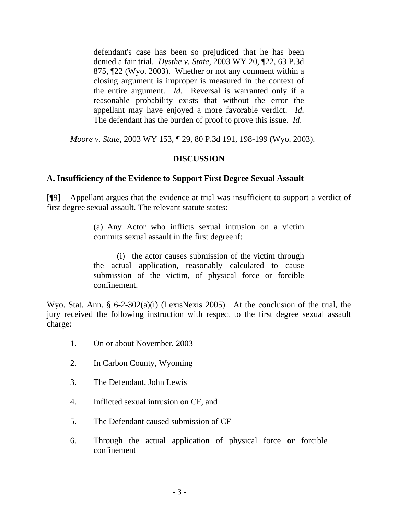defendant's case has been so prejudiced that he has been denied a fair trial. *Dysthe v. State*, 2003 WY 20, ¶22, 63 P.3d 875, ¶22 (Wyo. 2003). Whether or not any comment within a closing argument is improper is measured in the context of the entire argument. *Id*. Reversal is warranted only if a reasonable probability exists that without the error the appellant may have enjoyed a more favorable verdict. *Id*. The defendant has the burden of proof to prove this issue. *Id*.

*Moore v. State*, 2003 WY 153, ¶ 29, 80 P.3d 191, 198-199 (Wyo. 2003).

## **DISCUSSION**

## **A. Insufficiency of the Evidence to Support First Degree Sexual Assault**

[¶9] Appellant argues that the evidence at trial was insufficient to support a verdict of first degree sexual assault. The relevant statute states:

> (a) Any Actor who inflicts sexual intrusion on a victim commits sexual assault in the first degree if:

> (i) the actor causes submission of the victim through the actual application, reasonably calculated to cause submission of the victim, of physical force or forcible confinement.

Wyo. Stat. Ann. § 6-2-302(a)(i) (LexisNexis 2005). At the conclusion of the trial, the jury received the following instruction with respect to the first degree sexual assault charge:

- 1. On or about November, 2003
- 2. In Carbon County, Wyoming
- 3. The Defendant, John Lewis
- 4. Inflicted sexual intrusion on CF, and
- 5. The Defendant caused submission of CF
- 6. Through the actual application of physical force **or** forcible confinement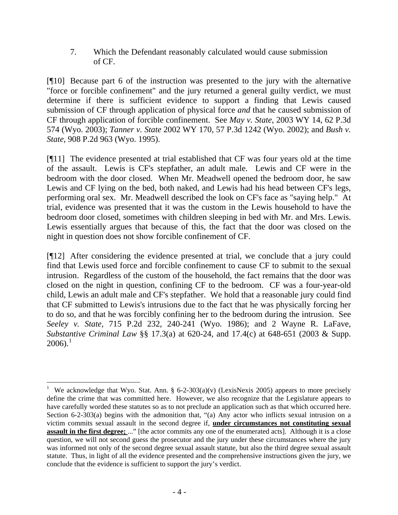7. Which the Defendant reasonably calculated would cause submission of CF.

[¶10] Because part 6 of the instruction was presented to the jury with the alternative "force or forcible confinement" and the jury returned a general guilty verdict, we must determine if there is sufficient evidence to support a finding that Lewis caused submission of CF through application of physical force *and* that he caused submission of CF through application of forcible confinement. See *May v. State*, 2003 WY 14, 62 P.3d 574 (Wyo. 2003); *Tanner v. State* 2002 WY 170, 57 P.3d 1242 (Wyo. 2002); and *Bush v. State*, 908 P.2d 963 (Wyo. 1995).

[¶11] The evidence presented at trial established that CF was four years old at the time of the assault. Lewis is CF's stepfather, an adult male. Lewis and CF were in the bedroom with the door closed. When Mr. Meadwell opened the bedroom door, he saw Lewis and CF lying on the bed, both naked, and Lewis had his head between CF's legs, performing oral sex. Mr. Meadwell described the look on CF's face as "saying help." At trial, evidence was presented that it was the custom in the Lewis household to have the bedroom door closed, sometimes with children sleeping in bed with Mr. and Mrs. Lewis. Lewis essentially argues that because of this, the fact that the door was closed on the night in question does not show forcible confinement of CF.

[¶12] After considering the evidence presented at trial, we conclude that a jury could find that Lewis used force and forcible confinement to cause CF to submit to the sexual intrusion. Regardless of the custom of the household, the fact remains that the door was closed on the night in question, confining CF to the bedroom. CF was a four-year-old child, Lewis an adult male and CF's stepfather. We hold that a reasonable jury could find that CF submitted to Lewis's intrusions due to the fact that he was physically forcing her to do so, and that he was forcibly confining her to the bedroom during the intrusion. See *Seeley v. State*, 715 P.2d 232, 240-241 (Wyo. 1986); and 2 Wayne R. LaFave, *Substantive Criminal Law* §§ 17.3(a) at 620-24, and 17.4(c) at 648-651 (2003 & Supp.  $2006$ ).<sup>[1](#page-5-0)</sup>

<span id="page-5-0"></span><sup>1</sup> We acknowledge that Wyo. Stat. Ann.  $\S 6-2-303(a)(v)$  (LexisNexis 2005) appears to more precisely define the crime that was committed here. However, we also recognize that the Legislature appears to have carefully worded these statutes so as to not preclude an application such as that which occurred here. Section 6-2-303(a) begins with the admonition that, "(a) Any actor who inflicts sexual intrusion on a victim commits sexual assault in the second degree if, **under circumstances not constituting sexual assault in the first degree;** ..." [the actor commits any one of the enumerated acts]. Although it is a close question, we will not second guess the prosecutor and the jury under these circumstances where the jury was informed not only of the second degree sexual assault statute, but also the third degree sexual assault statute. Thus, in light of all the evidence presented and the comprehensive instructions given the jury, we conclude that the evidence is sufficient to support the jury's verdict.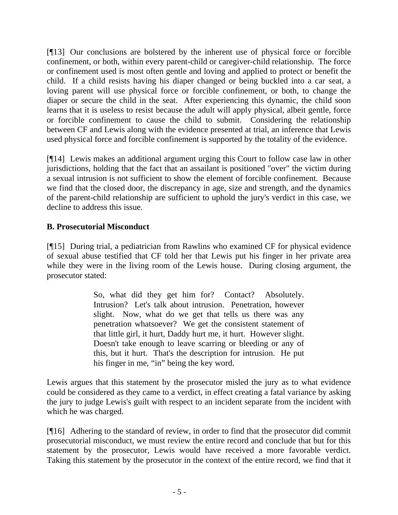[¶13] Our conclusions are bolstered by the inherent use of physical force or forcible confinement, or both, within every parent-child or caregiver-child relationship. The force or confinement used is most often gentle and loving and applied to protect or benefit the child. If a child resists having his diaper changed or being buckled into a car seat, a loving parent will use physical force or forcible confinement, or both, to change the diaper or secure the child in the seat. After experiencing this dynamic, the child soon learns that it is useless to resist because the adult will apply physical, albeit gentle, force or forcible confinement to cause the child to submit. Considering the relationship between CF and Lewis along with the evidence presented at trial, an inference that Lewis used physical force and forcible confinement is supported by the totality of the evidence.

[¶14] Lewis makes an additional argument urging this Court to follow case law in other jurisdictions, holding that the fact that an assailant is positioned "over" the victim during a sexual intrusion is not sufficient to show the element of forcible confinement. Because we find that the closed door, the discrepancy in age, size and strength, and the dynamics of the parent-child relationship are sufficient to uphold the jury's verdict in this case, we decline to address this issue.

# **B. Prosecutorial Misconduct**

[¶15] During trial, a pediatrician from Rawlins who examined CF for physical evidence of sexual abuse testified that CF told her that Lewis put his finger in her private area while they were in the living room of the Lewis house. During closing argument, the prosecutor stated:

> So, what did they get him for? Contact? Absolutely. Intrusion? Let's talk about intrusion. Penetration, however slight. Now, what do we get that tells us there was any penetration whatsoever? We get the consistent statement of that little girl, it hurt, Daddy hurt me, it hurt. However slight. Doesn't take enough to leave scarring or bleeding or any of this, but it hurt. That's the description for intrusion. He put his finger in me, "in" being the key word.

Lewis argues that this statement by the prosecutor misled the jury as to what evidence could be considered as they came to a verdict, in effect creating a fatal variance by asking the jury to judge Lewis's guilt with respect to an incident separate from the incident with which he was charged.

[¶16] Adhering to the standard of review, in order to find that the prosecutor did commit prosecutorial misconduct, we must review the entire record and conclude that but for this statement by the prosecutor, Lewis would have received a more favorable verdict. Taking this statement by the prosecutor in the context of the entire record, we find that it